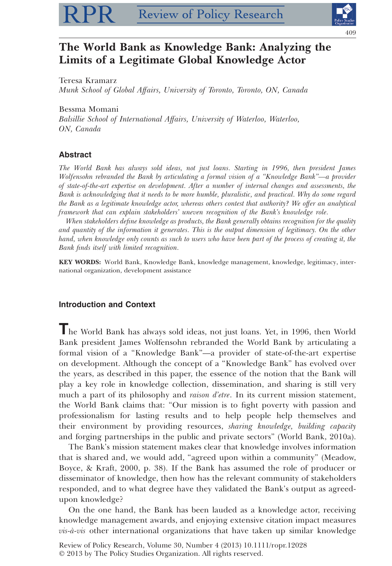

# **The World Bank as Knowledge Bank: Analyzing the Limits of a Legitimate Global Knowledge Actor**

Teresa Kramarz *Munk School of Global Affairs, University of Toronto, Toronto, ON, Canada*

Bessma Momani *Balsillie School of International Affairs, University of Waterloo, Waterloo, ON, Canada*

# **Abstract**

*The World Bank has always sold ideas, not just loans. Starting in 1996, then president James Wolfensohn rebranded the Bank by articulating a formal vision of a "Knowledge Bank"—a provider of state-of-the-art expertise on development. After a number of internal changes and assessments, the Bank is acknowledging that it needs to be more humble, pluralistic, and practical. Why do some regard the Bank as a legitimate knowledge actor, whereas others contest that authority? We offer an analytical framework that can explain stakeholders' uneven recognition of the Bank's knowledge role.*

*When stakeholders define knowledge as products, the Bank generally obtains recognition for the quality and quantity of the information it generates. This is the output dimension of legitimacy. On the other hand, when knowledge only counts as such to users who have been part of the process of creating it, the Bank finds itself with limited recognition.*

**KEY WORDS:** World Bank, Knowledge Bank, knowledge management, knowledge, legitimacy, international organization, development assistance

## **Introduction and Context**

**T**he World Bank has always sold ideas, not just loans. Yet, in 1996, then World Bank president James Wolfensohn rebranded the World Bank by articulating a formal vision of a "Knowledge Bank"—a provider of state-of-the-art expertise on development. Although the concept of a "Knowledge Bank" has evolved over the years, as described in this paper, the essence of the notion that the Bank will play a key role in knowledge collection, dissemination, and sharing is still very much a part of its philosophy and *raison d'etre*. In its current mission statement, the World Bank claims that: "Our mission is to fight poverty with passion and professionalism for lasting results and to help people help themselves and their environment by providing resources, *sharing knowledge, building capacity* and forging partnerships in the public and private sectors" (World Bank, 2010a).

The Bank's mission statement makes clear that knowledge involves information that is shared and, we would add, "agreed upon within a community" (Meadow, Boyce, & Kraft, 2000, p. 38). If the Bank has assumed the role of producer or disseminator of knowledge, then how has the relevant community of stakeholders responded, and to what degree have they validated the Bank's output as agreedupon knowledge?

On the one hand, the Bank has been lauded as a knowledge actor, receiving knowledge management awards, and enjoying extensive citation impact measures *vis-à-vis* other international organizations that have taken up similar knowledge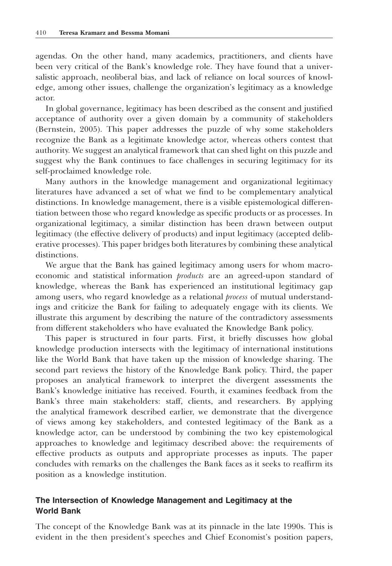agendas. On the other hand, many academics, practitioners, and clients have been very critical of the Bank's knowledge role. They have found that a universalistic approach, neoliberal bias, and lack of reliance on local sources of knowledge, among other issues, challenge the organization's legitimacy as a knowledge actor.

In global governance, legitimacy has been described as the consent and justified acceptance of authority over a given domain by a community of stakeholders (Bernstein, 2005). This paper addresses the puzzle of why some stakeholders recognize the Bank as a legitimate knowledge actor, whereas others contest that authority. We suggest an analytical framework that can shed light on this puzzle and suggest why the Bank continues to face challenges in securing legitimacy for its self-proclaimed knowledge role.

Many authors in the knowledge management and organizational legitimacy literatures have advanced a set of what we find to be complementary analytical distinctions. In knowledge management, there is a visible epistemological differentiation between those who regard knowledge as specific products or as processes. In organizational legitimacy, a similar distinction has been drawn between output legitimacy (the effective delivery of products) and input legitimacy (accepted deliberative processes). This paper bridges both literatures by combining these analytical distinctions.

We argue that the Bank has gained legitimacy among users for whom macroeconomic and statistical information *products* are an agreed-upon standard of knowledge, whereas the Bank has experienced an institutional legitimacy gap among users, who regard knowledge as a relational *process* of mutual understandings and criticize the Bank for failing to adequately engage with its clients. We illustrate this argument by describing the nature of the contradictory assessments from different stakeholders who have evaluated the Knowledge Bank policy.

This paper is structured in four parts. First, it briefly discusses how global knowledge production intersects with the legitimacy of international institutions like the World Bank that have taken up the mission of knowledge sharing. The second part reviews the history of the Knowledge Bank policy. Third, the paper proposes an analytical framework to interpret the divergent assessments the Bank's knowledge initiative has received. Fourth, it examines feedback from the Bank's three main stakeholders: staff, clients, and researchers. By applying the analytical framework described earlier, we demonstrate that the divergence of views among key stakeholders, and contested legitimacy of the Bank as a knowledge actor, can be understood by combining the two key epistemological approaches to knowledge and legitimacy described above: the requirements of effective products as outputs and appropriate processes as inputs. The paper concludes with remarks on the challenges the Bank faces as it seeks to reaffirm its position as a knowledge institution.

### **The Intersection of Knowledge Management and Legitimacy at the World Bank**

The concept of the Knowledge Bank was at its pinnacle in the late 1990s. This is evident in the then president's speeches and Chief Economist's position papers,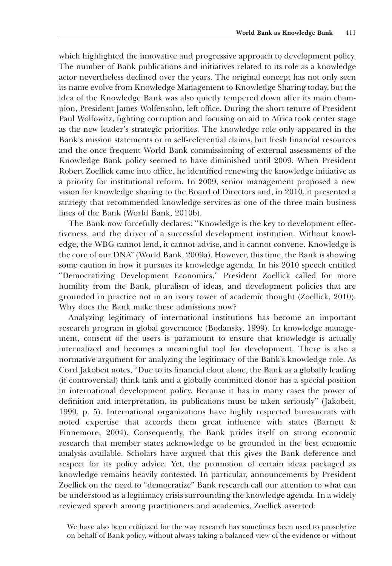which highlighted the innovative and progressive approach to development policy. The number of Bank publications and initiatives related to its role as a knowledge actor nevertheless declined over the years. The original concept has not only seen its name evolve from Knowledge Management to Knowledge Sharing today, but the idea of the Knowledge Bank was also quietly tempered down after its main champion, President James Wolfensohn, left office. During the short tenure of President Paul Wolfowitz, fighting corruption and focusing on aid to Africa took center stage as the new leader's strategic priorities. The knowledge role only appeared in the Bank's mission statements or in self-referential claims, but fresh financial resources and the once frequent World Bank commissioning of external assessments of the Knowledge Bank policy seemed to have diminished until 2009. When President Robert Zoellick came into office, he identified renewing the knowledge initiative as a priority for institutional reform. In 2009, senior management proposed a new vision for knowledge sharing to the Board of Directors and, in 2010, it presented a strategy that recommended knowledge services as one of the three main business lines of the Bank (World Bank, 2010b).

The Bank now forcefully declares: "Knowledge is the key to development effectiveness, and the driver of a successful development institution. Without knowledge, the WBG cannot lend, it cannot advise, and it cannot convene. Knowledge is the core of our DNA" (World Bank, 2009a). However, this time, the Bank is showing some caution in how it pursues its knowledge agenda. In his 2010 speech entitled "Democratizing Development Economics," President Zoellick called for more humility from the Bank, pluralism of ideas, and development policies that are grounded in practice not in an ivory tower of academic thought (Zoellick, 2010). Why does the Bank make these admissions now?

Analyzing legitimacy of international institutions has become an important research program in global governance (Bodansky, 1999). In knowledge management, consent of the users is paramount to ensure that knowledge is actually internalized and becomes a meaningful tool for development. There is also a normative argument for analyzing the legitimacy of the Bank's knowledge role. As Cord Jakobeit notes, "Due to its financial clout alone, the Bank as a globally leading (if controversial) think tank and a globally committed donor has a special position in international development policy. Because it has in many cases the power of definition and interpretation, its publications must be taken seriously" (Jakobeit, 1999, p. 5). International organizations have highly respected bureaucrats with noted expertise that accords them great influence with states (Barnett & Finnemore, 2004). Consequently, the Bank prides itself on strong economic research that member states acknowledge to be grounded in the best economic analysis available. Scholars have argued that this gives the Bank deference and respect for its policy advice. Yet, the promotion of certain ideas packaged as knowledge remains heavily contested. In particular, announcements by President Zoellick on the need to "democratize" Bank research call our attention to what can be understood as a legitimacy crisis surrounding the knowledge agenda. In a widely reviewed speech among practitioners and academics, Zoellick asserted:

We have also been criticized for the way research has sometimes been used to proselytize on behalf of Bank policy, without always taking a balanced view of the evidence or without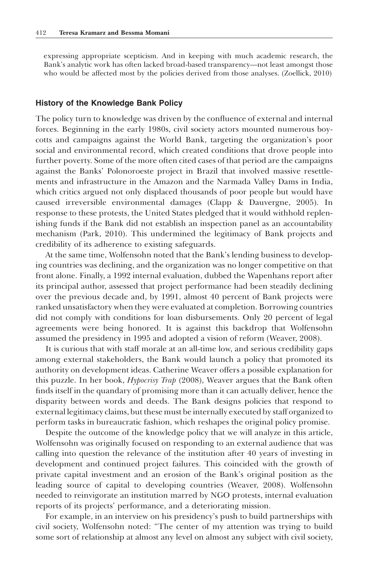expressing appropriate scepticism. And in keeping with much academic research, the Bank's analytic work has often lacked broad-based transparency—not least amongst those who would be affected most by the policies derived from those analyses. (Zoellick, 2010)

#### **History of the Knowledge Bank Policy**

The policy turn to knowledge was driven by the confluence of external and internal forces. Beginning in the early 1980s, civil society actors mounted numerous boycotts and campaigns against the World Bank, targeting the organization's poor social and environmental record, which created conditions that drove people into further poverty. Some of the more often cited cases of that period are the campaigns against the Banks' Polonoroeste project in Brazil that involved massive resettlements and infrastructure in the Amazon and the Narmada Valley Dams in India, which critics argued not only displaced thousands of poor people but would have caused irreversible environmental damages (Clapp & Dauvergne, 2005). In response to these protests, the United States pledged that it would withhold replenishing funds if the Bank did not establish an inspection panel as an accountability mechanism (Park, 2010). This undermined the legitimacy of Bank projects and credibility of its adherence to existing safeguards.

At the same time, Wolfensohn noted that the Bank's lending business to developing countries was declining, and the organization was no longer competitive on that front alone. Finally, a 1992 internal evaluation, dubbed the Wapenhans report after its principal author, assessed that project performance had been steadily declining over the previous decade and, by 1991, almost 40 percent of Bank projects were ranked unsatisfactory when they were evaluated at completion. Borrowing countries did not comply with conditions for loan disbursements. Only 20 percent of legal agreements were being honored. It is against this backdrop that Wolfensohn assumed the presidency in 1995 and adopted a vision of reform (Weaver, 2008).

It is curious that with staff morale at an all-time low, and serious credibility gaps among external stakeholders, the Bank would launch a policy that promoted its authority on development ideas. Catherine Weaver offers a possible explanation for this puzzle. In her book, *Hypocrisy Trap* (2008), Weaver argues that the Bank often finds itself in the quandary of promising more than it can actually deliver, hence the disparity between words and deeds. The Bank designs policies that respond to external legitimacy claims, but these must be internally executed by staff organized to perform tasks in bureaucratic fashion, which reshapes the original policy promise.

Despite the outcome of the knowledge policy that we will analyze in this article, Wolfensohn was originally focused on responding to an external audience that was calling into question the relevance of the institution after 40 years of investing in development and continued project failures. This coincided with the growth of private capital investment and an erosion of the Bank's original position as the leading source of capital to developing countries (Weaver, 2008). Wolfensohn needed to reinvigorate an institution marred by NGO protests, internal evaluation reports of its projects' performance, and a deteriorating mission.

For example, in an interview on his presidency's push to build partnerships with civil society, Wolfensohn noted: "The center of my attention was trying to build some sort of relationship at almost any level on almost any subject with civil society,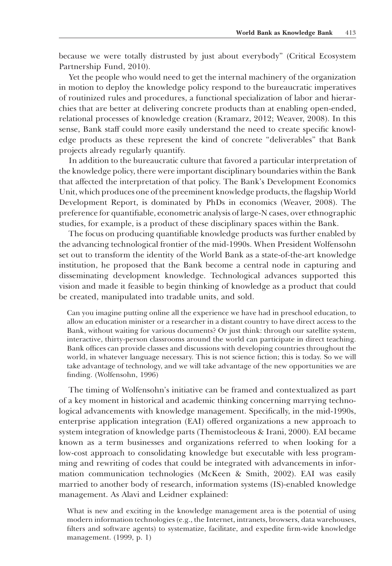because we were totally distrusted by just about everybody" (Critical Ecosystem Partnership Fund, 2010).

Yet the people who would need to get the internal machinery of the organization in motion to deploy the knowledge policy respond to the bureaucratic imperatives of routinized rules and procedures, a functional specialization of labor and hierarchies that are better at delivering concrete products than at enabling open-ended, relational processes of knowledge creation (Kramarz, 2012; Weaver, 2008). In this sense, Bank staff could more easily understand the need to create specific knowledge products as these represent the kind of concrete "deliverables" that Bank projects already regularly quantify.

In addition to the bureaucratic culture that favored a particular interpretation of the knowledge policy, there were important disciplinary boundaries within the Bank that affected the interpretation of that policy. The Bank's Development Economics Unit, which produces one of the preeminent knowledge products, the flagship World Development Report, is dominated by PhDs in economics (Weaver, 2008). The preference for quantifiable, econometric analysis of large-N cases, over ethnographic studies, for example, is a product of these disciplinary spaces within the Bank.

The focus on producing quantifiable knowledge products was further enabled by the advancing technological frontier of the mid-1990s. When President Wolfensohn set out to transform the identity of the World Bank as a state-of-the-art knowledge institution, he proposed that the Bank become a central node in capturing and disseminating development knowledge. Technological advances supported this vision and made it feasible to begin thinking of knowledge as a product that could be created, manipulated into tradable units, and sold.

Can you imagine putting online all the experience we have had in preschool education, to allow an education minister or a researcher in a distant country to have direct access to the Bank, without waiting for various documents? Or just think: through our satellite system, interactive, thirty-person classrooms around the world can participate in direct teaching. Bank offices can provide classes and discussions with developing countries throughout the world, in whatever language necessary. This is not science fiction; this is today. So we will take advantage of technology, and we will take advantage of the new opportunities we are finding. (Wolfensohn, 1996)

The timing of Wolfensohn's initiative can be framed and contextualized as part of a key moment in historical and academic thinking concerning marrying technological advancements with knowledge management. Specifically, in the mid-1990s, enterprise application integration (EAI) offered organizations a new approach to system integration of knowledge parts (Themistocleous & Irani, 2000). EAI became known as a term businesses and organizations referred to when looking for a low-cost approach to consolidating knowledge but executable with less programming and rewriting of codes that could be integrated with advancements in information communication technologies (McKeen & Smith, 2002). EAI was easily married to another body of research, information systems (IS)-enabled knowledge management. As Alavi and Leidner explained:

What is new and exciting in the knowledge management area is the potential of using modern information technologies (e.g., the Internet, intranets, browsers, data warehouses, filters and software agents) to systematize, facilitate, and expedite firm-wide knowledge management. (1999, p. 1)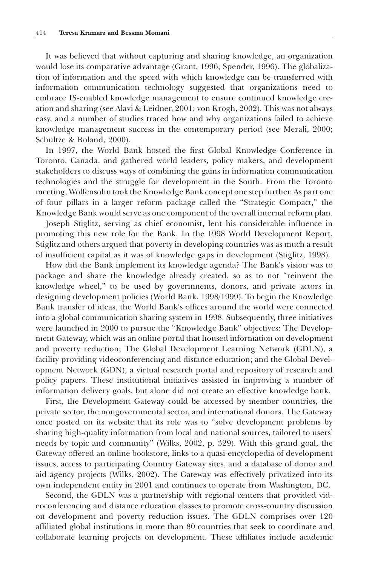It was believed that without capturing and sharing knowledge, an organization would lose its comparative advantage (Grant, 1996; Spender, 1996). The globalization of information and the speed with which knowledge can be transferred with information communication technology suggested that organizations need to embrace IS-enabled knowledge management to ensure continued knowledge creation and sharing (see Alavi & Leidner, 2001; von Krogh, 2002). This was not always easy, and a number of studies traced how and why organizations failed to achieve knowledge management success in the contemporary period (see Merali, 2000; Schultze & Boland, 2000).

In 1997, the World Bank hosted the first Global Knowledge Conference in Toronto, Canada, and gathered world leaders, policy makers, and development stakeholders to discuss ways of combining the gains in information communication technologies and the struggle for development in the South. From the Toronto meeting, Wolfensohn took the Knowledge Bank concept one step further. As part one of four pillars in a larger reform package called the "Strategic Compact," the Knowledge Bank would serve as one component of the overall internal reform plan.

Joseph Stiglitz, serving as chief economist, lent his considerable influence in promoting this new role for the Bank. In the 1998 World Development Report, Stiglitz and others argued that poverty in developing countries was as much a result of insufficient capital as it was of knowledge gaps in development (Stiglitz, 1998).

How did the Bank implement its knowledge agenda? The Bank's vision was to package and share the knowledge already created, so as to not "reinvent the knowledge wheel," to be used by governments, donors, and private actors in designing development policies (World Bank, 1998/1999). To begin the Knowledge Bank transfer of ideas, the World Bank's offices around the world were connected into a global communication sharing system in 1998. Subsequently, three initiatives were launched in 2000 to pursue the "Knowledge Bank" objectives: The Development Gateway, which was an online portal that housed information on development and poverty reduction; The Global Development Learning Network (GDLN), a facility providing videoconferencing and distance education; and the Global Development Network (GDN), a virtual research portal and repository of research and policy papers. These institutional initiatives assisted in improving a number of information delivery goals, but alone did not create an effective knowledge bank.

First, the Development Gateway could be accessed by member countries, the private sector, the nongovernmental sector, and international donors. The Gateway once posted on its website that its role was to "solve development problems by sharing high-quality information from local and national sources, tailored to users' needs by topic and community" (Wilks, 2002, p. 329). With this grand goal, the Gateway offered an online bookstore, links to a quasi-encyclopedia of development issues, access to participating Country Gateway sites, and a database of donor and aid agency projects (Wilks, 2002). The Gateway was effectively privatized into its own independent entity in 2001 and continues to operate from Washington, DC.

Second, the GDLN was a partnership with regional centers that provided videoconferencing and distance education classes to promote cross-country discussion on development and poverty reduction issues. The GDLN comprises over 120 affiliated global institutions in more than 80 countries that seek to coordinate and collaborate learning projects on development. These affiliates include academic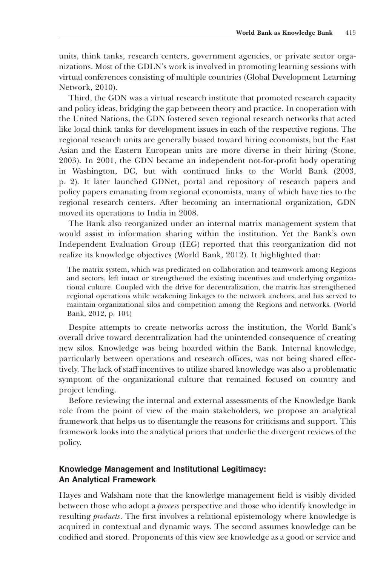units, think tanks, research centers, government agencies, or private sector organizations. Most of the GDLN's work is involved in promoting learning sessions with virtual conferences consisting of multiple countries (Global Development Learning Network, 2010).

Third, the GDN was a virtual research institute that promoted research capacity and policy ideas, bridging the gap between theory and practice. In cooperation with the United Nations, the GDN fostered seven regional research networks that acted like local think tanks for development issues in each of the respective regions. The regional research units are generally biased toward hiring economists, but the East Asian and the Eastern European units are more diverse in their hiring (Stone, 2003). In 2001, the GDN became an independent not-for-profit body operating in Washington, DC, but with continued links to the World Bank (2003, p. 2). It later launched GDNet, portal and repository of research papers and policy papers emanating from regional economists, many of which have ties to the regional research centers. After becoming an international organization, GDN moved its operations to India in 2008.

The Bank also reorganized under an internal matrix management system that would assist in information sharing within the institution. Yet the Bank's own Independent Evaluation Group (IEG) reported that this reorganization did not realize its knowledge objectives (World Bank, 2012). It highlighted that:

The matrix system, which was predicated on collaboration and teamwork among Regions and sectors, left intact or strengthened the existing incentives and underlying organizational culture. Coupled with the drive for decentralization, the matrix has strengthened regional operations while weakening linkages to the network anchors, and has served to maintain organizational silos and competition among the Regions and networks. (World Bank, 2012, p. 104)

Despite attempts to create networks across the institution, the World Bank's overall drive toward decentralization had the unintended consequence of creating new silos. Knowledge was being hoarded within the Bank. Internal knowledge, particularly between operations and research offices, was not being shared effectively. The lack of staff incentives to utilize shared knowledge was also a problematic symptom of the organizational culture that remained focused on country and project lending.

Before reviewing the internal and external assessments of the Knowledge Bank role from the point of view of the main stakeholders, we propose an analytical framework that helps us to disentangle the reasons for criticisms and support. This framework looks into the analytical priors that underlie the divergent reviews of the policy.

### **Knowledge Management and Institutional Legitimacy: An Analytical Framework**

Hayes and Walsham note that the knowledge management field is visibly divided between those who adopt a *process* perspective and those who identify knowledge in resulting *products*. The first involves a relational epistemology where knowledge is acquired in contextual and dynamic ways. The second assumes knowledge can be codified and stored. Proponents of this view see knowledge as a good or service and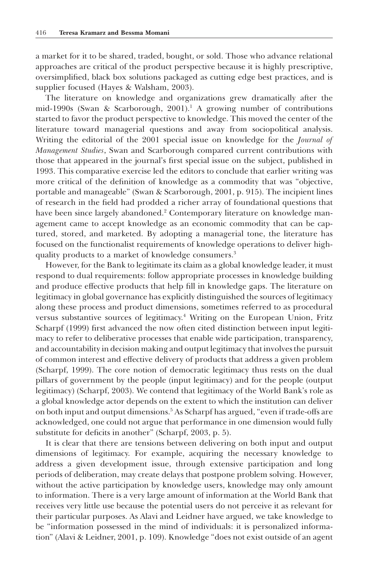a market for it to be shared, traded, bought, or sold. Those who advance relational approaches are critical of the product perspective because it is highly prescriptive, oversimplified, black box solutions packaged as cutting edge best practices, and is supplier focused (Hayes & Walsham, 2003).

The literature on knowledge and organizations grew dramatically after the mid-1990s (Swan & Scarborough, 2001).<sup>1</sup> A growing number of contributions started to favor the product perspective to knowledge. This moved the center of the literature toward managerial questions and away from sociopolitical analysis. Writing the editorial of the 2001 special issue on knowledge for the *Journal of Management Studies*, Swan and Scarborough compared current contributions with those that appeared in the journal's first special issue on the subject, published in 1993. This comparative exercise led the editors to conclude that earlier writing was more critical of the definition of knowledge as a commodity that was "objective, portable and manageable" (Swan & Scarborough, 2001, p. 915). The incipient lines of research in the field had prodded a richer array of foundational questions that have been since largely abandoned.<sup>2</sup> Contemporary literature on knowledge management came to accept knowledge as an economic commodity that can be captured, stored, and marketed. By adopting a managerial tone, the literature has focused on the functionalist requirements of knowledge operations to deliver highquality products to a market of knowledge consumers.<sup>3</sup>

However, for the Bank to legitimate its claim as a global knowledge leader, it must respond to dual requirements: follow appropriate processes in knowledge building and produce effective products that help fill in knowledge gaps. The literature on legitimacy in global governance has explicitly distinguished the sources of legitimacy along these process and product dimensions, sometimes referred to as procedural versus substantive sources of legitimacy.4 Writing on the European Union, Fritz Scharpf (1999) first advanced the now often cited distinction between input legitimacy to refer to deliberative processes that enable wide participation, transparency, and accountability in decision making and output legitimacy that involves the pursuit of common interest and effective delivery of products that address a given problem (Scharpf, 1999). The core notion of democratic legitimacy thus rests on the dual pillars of government by the people (input legitimacy) and for the people (output legitimacy) (Scharpf, 2003). We contend that legitimacy of the World Bank's role as a global knowledge actor depends on the extent to which the institution can deliver on both input and output dimensions.<sup>5</sup> As Scharpf has argued, "even if trade-offs are acknowledged, one could not argue that performance in one dimension would fully substitute for deficits in another" (Scharpf, 2003, p. 5).

It is clear that there are tensions between delivering on both input and output dimensions of legitimacy. For example, acquiring the necessary knowledge to address a given development issue, through extensive participation and long periods of deliberation, may create delays that postpone problem solving. However, without the active participation by knowledge users, knowledge may only amount to information. There is a very large amount of information at the World Bank that receives very little use because the potential users do not perceive it as relevant for their particular purposes. As Alavi and Leidner have argued, we take knowledge to be "information possessed in the mind of individuals: it is personalized information" (Alavi & Leidner, 2001, p. 109). Knowledge "does not exist outside of an agent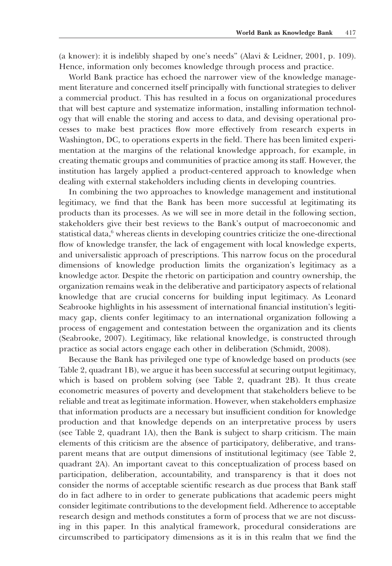(a knower): it is indelibly shaped by one's needs" (Alavi & Leidner, 2001, p. 109). Hence, information only becomes knowledge through process and practice.

World Bank practice has echoed the narrower view of the knowledge management literature and concerned itself principally with functional strategies to deliver a commercial product. This has resulted in a focus on organizational procedures that will best capture and systematize information, installing information technology that will enable the storing and access to data, and devising operational processes to make best practices flow more effectively from research experts in Washington, DC, to operations experts in the field. There has been limited experimentation at the margins of the relational knowledge approach, for example, in creating thematic groups and communities of practice among its staff. However, the institution has largely applied a product-centered approach to knowledge when dealing with external stakeholders including clients in developing countries.

In combining the two approaches to knowledge management and institutional legitimacy, we find that the Bank has been more successful at legitimating its products than its processes. As we will see in more detail in the following section, stakeholders give their best reviews to the Bank's output of macroeconomic and statistical data, $6$  whereas clients in developing countries criticize the one-directional flow of knowledge transfer, the lack of engagement with local knowledge experts, and universalistic approach of prescriptions. This narrow focus on the procedural dimensions of knowledge production limits the organization's legitimacy as a knowledge actor. Despite the rhetoric on participation and country ownership, the organization remains weak in the deliberative and participatory aspects of relational knowledge that are crucial concerns for building input legitimacy. As Leonard Seabrooke highlights in his assessment of international financial institution's legitimacy gap, clients confer legitimacy to an international organization following a process of engagement and contestation between the organization and its clients (Seabrooke, 2007). Legitimacy, like relational knowledge, is constructed through practice as social actors engage each other in deliberation (Schmidt, 2008).

Because the Bank has privileged one type of knowledge based on products (see Table 2, quadrant 1B), we argue it has been successful at securing output legitimacy, which is based on problem solving (see Table 2, quadrant 2B). It thus create econometric measures of poverty and development that stakeholders believe to be reliable and treat as legitimate information. However, when stakeholders emphasize that information products are a necessary but insufficient condition for knowledge production and that knowledge depends on an interpretative process by users (see Table 2, quadrant 1A), then the Bank is subject to sharp criticism. The main elements of this criticism are the absence of participatory, deliberative, and transparent means that are output dimensions of institutional legitimacy (see Table 2, quadrant 2A). An important caveat to this conceptualization of process based on participation, deliberation, accountability, and transparency is that it does not consider the norms of acceptable scientific research as due process that Bank staff do in fact adhere to in order to generate publications that academic peers might consider legitimate contributions to the development field. Adherence to acceptable research design and methods constitutes a form of process that we are not discussing in this paper. In this analytical framework, procedural considerations are circumscribed to participatory dimensions as it is in this realm that we find the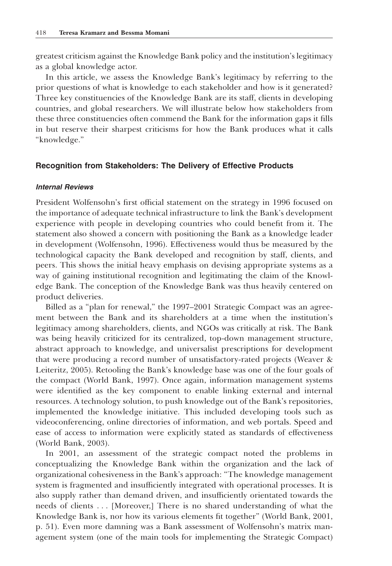greatest criticism against the Knowledge Bank policy and the institution's legitimacy as a global knowledge actor.

In this article, we assess the Knowledge Bank's legitimacy by referring to the prior questions of what is knowledge to each stakeholder and how is it generated? Three key constituencies of the Knowledge Bank are its staff, clients in developing countries, and global researchers. We will illustrate below how stakeholders from these three constituencies often commend the Bank for the information gaps it fills in but reserve their sharpest criticisms for how the Bank produces what it calls "knowledge."

#### **Recognition from Stakeholders: The Delivery of Effective Products**

#### *Internal Reviews*

President Wolfensohn's first official statement on the strategy in 1996 focused on the importance of adequate technical infrastructure to link the Bank's development experience with people in developing countries who could benefit from it. The statement also showed a concern with positioning the Bank as a knowledge leader in development (Wolfensohn, 1996). Effectiveness would thus be measured by the technological capacity the Bank developed and recognition by staff, clients, and peers. This shows the initial heavy emphasis on devising appropriate systems as a way of gaining institutional recognition and legitimating the claim of the Knowledge Bank. The conception of the Knowledge Bank was thus heavily centered on product deliveries.

Billed as a "plan for renewal," the 1997–2001 Strategic Compact was an agreement between the Bank and its shareholders at a time when the institution's legitimacy among shareholders, clients, and NGOs was critically at risk. The Bank was being heavily criticized for its centralized, top-down management structure, abstract approach to knowledge, and universalist prescriptions for development that were producing a record number of unsatisfactory-rated projects (Weaver & Leiteritz, 2005). Retooling the Bank's knowledge base was one of the four goals of the compact (World Bank, 1997). Once again, information management systems were identified as the key component to enable linking external and internal resources. A technology solution, to push knowledge out of the Bank's repositories, implemented the knowledge initiative. This included developing tools such as videoconferencing, online directories of information, and web portals. Speed and ease of access to information were explicitly stated as standards of effectiveness (World Bank, 2003).

In 2001, an assessment of the strategic compact noted the problems in conceptualizing the Knowledge Bank within the organization and the lack of organizational cohesiveness in the Bank's approach: "The knowledge management system is fragmented and insufficiently integrated with operational processes. It is also supply rather than demand driven, and insufficiently orientated towards the needs of clients . . . [Moreover,] There is no shared understanding of what the Knowledge Bank is, nor how its various elements fit together" (World Bank, 2001, p. 51). Even more damning was a Bank assessment of Wolfensohn's matrix management system (one of the main tools for implementing the Strategic Compact)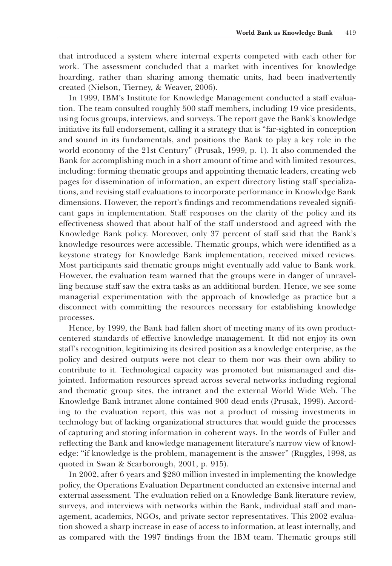that introduced a system where internal experts competed with each other for work. The assessment concluded that a market with incentives for knowledge hoarding, rather than sharing among thematic units, had been inadvertently created (Nielson, Tierney, & Weaver, 2006).

In 1999, IBM's Institute for Knowledge Management conducted a staff evaluation. The team consulted roughly 500 staff members, including 19 vice presidents, using focus groups, interviews, and surveys. The report gave the Bank's knowledge initiative its full endorsement, calling it a strategy that is "far-sighted in conception and sound in its fundamentals, and positions the Bank to play a key role in the world economy of the 21st Century" (Prusak, 1999, p. 1). It also commended the Bank for accomplishing much in a short amount of time and with limited resources, including: forming thematic groups and appointing thematic leaders, creating web pages for dissemination of information, an expert directory listing staff specializations, and revising staff evaluations to incorporate performance in Knowledge Bank dimensions. However, the report's findings and recommendations revealed significant gaps in implementation. Staff responses on the clarity of the policy and its effectiveness showed that about half of the staff understood and agreed with the Knowledge Bank policy. Moreover, only 37 percent of staff said that the Bank's knowledge resources were accessible. Thematic groups, which were identified as a keystone strategy for Knowledge Bank implementation, received mixed reviews. Most participants said thematic groups might eventually add value to Bank work. However, the evaluation team warned that the groups were in danger of unravelling because staff saw the extra tasks as an additional burden. Hence, we see some managerial experimentation with the approach of knowledge as practice but a disconnect with committing the resources necessary for establishing knowledge processes.

Hence, by 1999, the Bank had fallen short of meeting many of its own productcentered standards of effective knowledge management. It did not enjoy its own staff's recognition, legitimizing its desired position as a knowledge enterprise, as the policy and desired outputs were not clear to them nor was their own ability to contribute to it. Technological capacity was promoted but mismanaged and disjointed. Information resources spread across several networks including regional and thematic group sites, the intranet and the external World Wide Web. The Knowledge Bank intranet alone contained 900 dead ends (Prusak, 1999). According to the evaluation report, this was not a product of missing investments in technology but of lacking organizational structures that would guide the processes of capturing and storing information in coherent ways. In the words of Fuller and reflecting the Bank and knowledge management literature's narrow view of knowledge: "if knowledge is the problem, management is the answer" (Ruggles, 1998, as quoted in Swan & Scarborough, 2001, p. 915).

In 2002, after 6 years and \$280 million invested in implementing the knowledge policy, the Operations Evaluation Department conducted an extensive internal and external assessment. The evaluation relied on a Knowledge Bank literature review, surveys, and interviews with networks within the Bank, individual staff and management, academics, NGOs, and private sector representatives. This 2002 evaluation showed a sharp increase in ease of access to information, at least internally, and as compared with the 1997 findings from the IBM team. Thematic groups still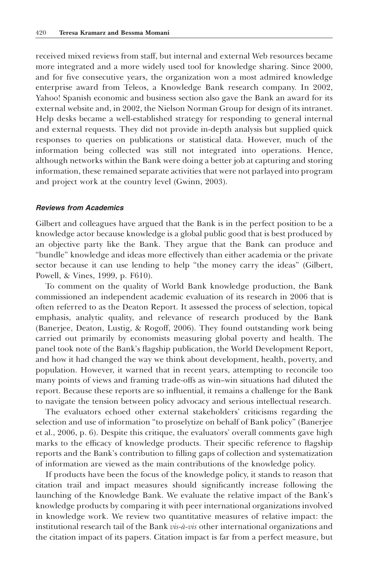received mixed reviews from staff, but internal and external Web resources became more integrated and a more widely used tool for knowledge sharing. Since 2000, and for five consecutive years, the organization won a most admired knowledge enterprise award from Teleos, a Knowledge Bank research company. In 2002, Yahoo! Spanish economic and business section also gave the Bank an award for its external website and, in 2002, the Nielson Norman Group for design of its intranet. Help desks became a well-established strategy for responding to general internal and external requests. They did not provide in-depth analysis but supplied quick responses to queries on publications or statistical data. However, much of the information being collected was still not integrated into operations. Hence, although networks within the Bank were doing a better job at capturing and storing information, these remained separate activities that were not parlayed into program and project work at the country level (Gwinn, 2003).

#### *Reviews from Academics*

Gilbert and colleagues have argued that the Bank is in the perfect position to be a knowledge actor because knowledge is a global public good that is best produced by an objective party like the Bank. They argue that the Bank can produce and "bundle" knowledge and ideas more effectively than either academia or the private sector because it can use lending to help "the money carry the ideas" (Gilbert, Powell, & Vines, 1999, p. F610).

To comment on the quality of World Bank knowledge production, the Bank commissioned an independent academic evaluation of its research in 2006 that is often referred to as the Deaton Report. It assessed the process of selection, topical emphasis, analytic quality, and relevance of research produced by the Bank (Banerjee, Deaton, Lustig, & Rogoff, 2006). They found outstanding work being carried out primarily by economists measuring global poverty and health. The panel took note of the Bank's flagship publication, the World Development Report, and how it had changed the way we think about development, health, poverty, and population. However, it warned that in recent years, attempting to reconcile too many points of views and framing trade-offs as win–win situations had diluted the report. Because these reports are so influential, it remains a challenge for the Bank to navigate the tension between policy advocacy and serious intellectual research.

The evaluators echoed other external stakeholders' criticisms regarding the selection and use of information "to proselytize on behalf of Bank policy" (Banerjee et al., 2006, p. 6). Despite this critique, the evaluators' overall comments gave high marks to the efficacy of knowledge products. Their specific reference to flagship reports and the Bank's contribution to filling gaps of collection and systematization of information are viewed as the main contributions of the knowledge policy.

If products have been the focus of the knowledge policy, it stands to reason that citation trail and impact measures should significantly increase following the launching of the Knowledge Bank. We evaluate the relative impact of the Bank's knowledge products by comparing it with peer international organizations involved in knowledge work. We review two quantitative measures of relative impact: the institutional research tail of the Bank *vis-à-vis* other international organizations and the citation impact of its papers. Citation impact is far from a perfect measure, but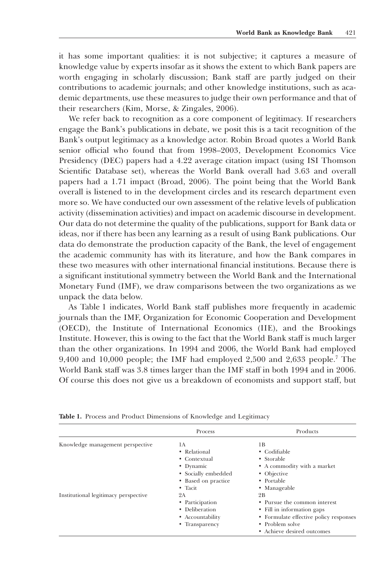it has some important qualities: it is not subjective; it captures a measure of knowledge value by experts insofar as it shows the extent to which Bank papers are worth engaging in scholarly discussion; Bank staff are partly judged on their contributions to academic journals; and other knowledge institutions, such as academic departments, use these measures to judge their own performance and that of their researchers (Kim, Morse, & Zingales, 2006).

We refer back to recognition as a core component of legitimacy. If researchers engage the Bank's publications in debate, we posit this is a tacit recognition of the Bank's output legitimacy as a knowledge actor. Robin Broad quotes a World Bank senior official who found that from 1998–2003, Development Economics Vice Presidency (DEC) papers had a 4.22 average citation impact (using ISI Thomson Scientific Database set), whereas the World Bank overall had 3.63 and overall papers had a 1.71 impact (Broad, 2006). The point being that the World Bank overall is listened to in the development circles and its research department even more so. We have conducted our own assessment of the relative levels of publication activity (dissemination activities) and impact on academic discourse in development. Our data do not determine the quality of the publications, support for Bank data or ideas, nor if there has been any learning as a result of using Bank publications. Our data do demonstrate the production capacity of the Bank, the level of engagement the academic community has with its literature, and how the Bank compares in these two measures with other international financial institutions. Because there is a significant institutional symmetry between the World Bank and the International Monetary Fund (IMF), we draw comparisons between the two organizations as we unpack the data below.

As Table 1 indicates, World Bank staff publishes more frequently in academic journals than the IMF, Organization for Economic Cooperation and Development (OECD), the Institute of International Economics (IIE), and the Brookings Institute. However, this is owing to the fact that the World Bank staff is much larger than the other organizations. In 1994 and 2006, the World Bank had employed 9,400 and 10,000 people; the IMF had employed 2,500 and 2,633 people.7 The World Bank staff was 3.8 times larger than the IMF staff in both 1994 and in 2006. Of course this does not give us a breakdown of economists and support staff, but

|                                      | Process             | Products                               |
|--------------------------------------|---------------------|----------------------------------------|
| Knowledge management perspective     | 1A                  | 1B                                     |
|                                      | • Relational        | • Codifiable                           |
|                                      | • Contextual        | • Storable                             |
|                                      | • Dynamic           | • A commodity with a market            |
|                                      | • Socially embedded | • Objective                            |
|                                      | • Based on practice | • Portable                             |
|                                      | $\bullet$ Tacit     | • Manageable                           |
| Institutional legitimacy perspective | 2A                  | 2B                                     |
|                                      | • Participation     | • Pursue the common interest           |
|                                      | • Deliberation      | • Fill in information gaps             |
|                                      | • Accountability    | • Formulate effective policy responses |
|                                      | • Transparency      | • Problem solve                        |
|                                      |                     | • Achieve desired outcomes             |

Table 1. Process and Product Dimensions of Knowledge and Legitimacy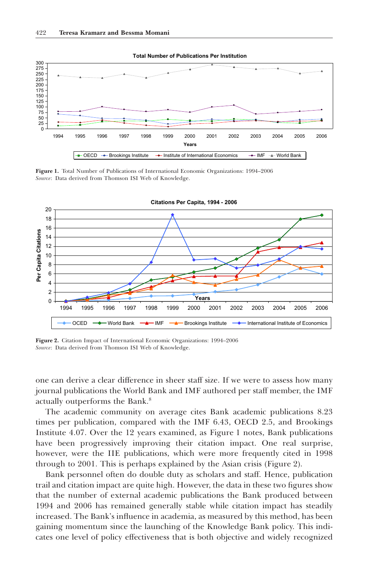

**Figure 1.** Total Number of Publications of International Economic Organizations: 1994–2006 *Source*: Data derived from Thomson ISI Web of Knowledge.



**Figure 2.** Citation Impact of International Economic Organizations: 1994–2006 *Source*: Data derived from Thomson ISI Web of Knowledge.

one can derive a clear difference in sheer staff size. If we were to assess how many journal publications the World Bank and IMF authored per staff member, the IMF actually outperforms the Bank.8

The academic community on average cites Bank academic publications 8.23 times per publication, compared with the IMF 6.43, OECD 2.5, and Brookings Institute 4.07. Over the 12 years examined, as Figure 1 notes, Bank publications have been progressively improving their citation impact. One real surprise, however, were the IIE publications, which were more frequently cited in 1998 through to 2001. This is perhaps explained by the Asian crisis (Figure 2).

Bank personnel often do double duty as scholars and staff. Hence, publication trail and citation impact are quite high. However, the data in these two figures show that the number of external academic publications the Bank produced between 1994 and 2006 has remained generally stable while citation impact has steadily increased. The Bank's influence in academia, as measured by this method, has been gaining momentum since the launching of the Knowledge Bank policy. This indicates one level of policy effectiveness that is both objective and widely recognized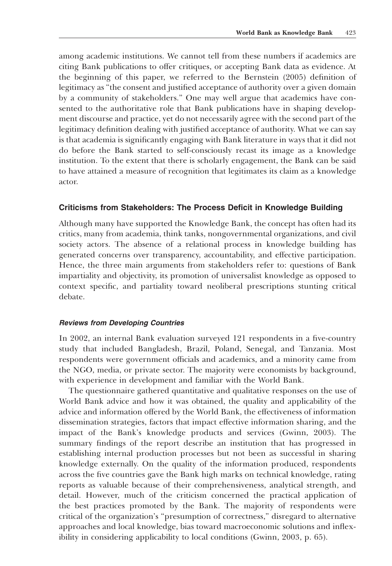among academic institutions. We cannot tell from these numbers if academics are citing Bank publications to offer critiques, or accepting Bank data as evidence. At the beginning of this paper, we referred to the Bernstein (2005) definition of legitimacy as "the consent and justified acceptance of authority over a given domain by a community of stakeholders." One may well argue that academics have consented to the authoritative role that Bank publications have in shaping development discourse and practice, yet do not necessarily agree with the second part of the legitimacy definition dealing with justified acceptance of authority. What we can say is that academia is significantly engaging with Bank literature in ways that it did not do before the Bank started to self-consciously recast its image as a knowledge institution. To the extent that there is scholarly engagement, the Bank can be said to have attained a measure of recognition that legitimates its claim as a knowledge actor.

#### **Criticisms from Stakeholders: The Process Deficit in Knowledge Building**

Although many have supported the Knowledge Bank, the concept has often had its critics, many from academia, think tanks, nongovernmental organizations, and civil society actors. The absence of a relational process in knowledge building has generated concerns over transparency, accountability, and effective participation. Hence, the three main arguments from stakeholders refer to: questions of Bank impartiality and objectivity, its promotion of universalist knowledge as opposed to context specific, and partiality toward neoliberal prescriptions stunting critical debate.

#### *Reviews from Developing Countries*

In 2002, an internal Bank evaluation surveyed 121 respondents in a five-country study that included Bangladesh, Brazil, Poland, Senegal, and Tanzania. Most respondents were government officials and academics, and a minority came from the NGO, media, or private sector. The majority were economists by background, with experience in development and familiar with the World Bank.

The questionnaire gathered quantitative and qualitative responses on the use of World Bank advice and how it was obtained, the quality and applicability of the advice and information offered by the World Bank, the effectiveness of information dissemination strategies, factors that impact effective information sharing, and the impact of the Bank's knowledge products and services (Gwinn, 2003). The summary findings of the report describe an institution that has progressed in establishing internal production processes but not been as successful in sharing knowledge externally. On the quality of the information produced, respondents across the five countries gave the Bank high marks on technical knowledge, rating reports as valuable because of their comprehensiveness, analytical strength, and detail. However, much of the criticism concerned the practical application of the best practices promoted by the Bank. The majority of respondents were critical of the organization's "presumption of correctness," disregard to alternative approaches and local knowledge, bias toward macroeconomic solutions and inflexibility in considering applicability to local conditions (Gwinn, 2003, p. 65).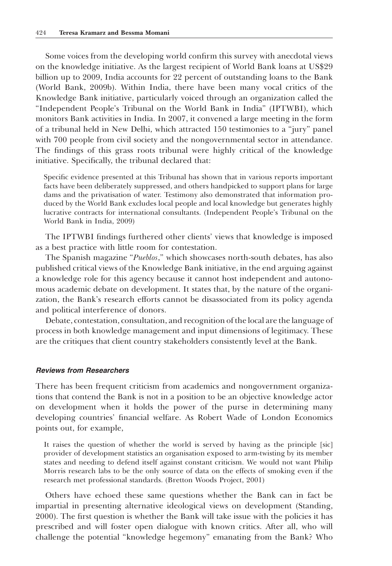Some voices from the developing world confirm this survey with anecdotal views on the knowledge initiative. As the largest recipient of World Bank loans at US\$29 billion up to 2009, India accounts for 22 percent of outstanding loans to the Bank (World Bank, 2009b). Within India, there have been many vocal critics of the Knowledge Bank initiative, particularly voiced through an organization called the "Independent People's Tribunal on the World Bank in India" (IPTWBI), which monitors Bank activities in India. In 2007, it convened a large meeting in the form of a tribunal held in New Delhi, which attracted 150 testimonies to a "jury" panel with 700 people from civil society and the nongovernmental sector in attendance. The findings of this grass roots tribunal were highly critical of the knowledge initiative. Specifically, the tribunal declared that:

Specific evidence presented at this Tribunal has shown that in various reports important facts have been deliberately suppressed, and others handpicked to support plans for large dams and the privatisation of water. Testimony also demonstrated that information produced by the World Bank excludes local people and local knowledge but generates highly lucrative contracts for international consultants. (Independent People's Tribunal on the World Bank in India, 2009)

The IPTWBI findings furthered other clients' views that knowledge is imposed as a best practice with little room for contestation.

The Spanish magazine "*Pueblos*," which showcases north-south debates, has also published critical views of the Knowledge Bank initiative, in the end arguing against a knowledge role for this agency because it cannot host independent and autonomous academic debate on development. It states that, by the nature of the organization, the Bank's research efforts cannot be disassociated from its policy agenda and political interference of donors.

Debate, contestation, consultation, and recognition of the local are the language of process in both knowledge management and input dimensions of legitimacy. These are the critiques that client country stakeholders consistently level at the Bank.

#### *Reviews from Researchers*

There has been frequent criticism from academics and nongovernment organizations that contend the Bank is not in a position to be an objective knowledge actor on development when it holds the power of the purse in determining many developing countries' financial welfare. As Robert Wade of London Economics points out, for example,

It raises the question of whether the world is served by having as the principle [sic] provider of development statistics an organisation exposed to arm-twisting by its member states and needing to defend itself against constant criticism. We would not want Philip Morris research labs to be the only source of data on the effects of smoking even if the research met professional standards. (Bretton Woods Project, 2001)

Others have echoed these same questions whether the Bank can in fact be impartial in presenting alternative ideological views on development (Standing, 2000). The first question is whether the Bank will take issue with the policies it has prescribed and will foster open dialogue with known critics. After all, who will challenge the potential "knowledge hegemony" emanating from the Bank? Who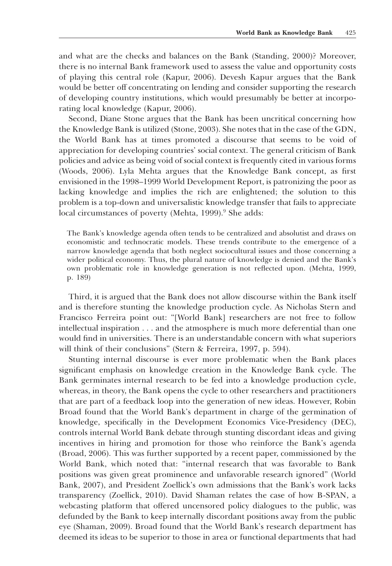and what are the checks and balances on the Bank (Standing, 2000)? Moreover, there is no internal Bank framework used to assess the value and opportunity costs of playing this central role (Kapur, 2006). Devesh Kapur argues that the Bank would be better off concentrating on lending and consider supporting the research of developing country institutions, which would presumably be better at incorporating local knowledge (Kapur, 2006).

Second, Diane Stone argues that the Bank has been uncritical concerning how the Knowledge Bank is utilized (Stone, 2003). She notes that in the case of the GDN, the World Bank has at times promoted a discourse that seems to be void of appreciation for developing countries' social context. The general criticism of Bank policies and advice as being void of social context is frequently cited in various forms (Woods, 2006). Lyla Mehta argues that the Knowledge Bank concept, as first envisioned in the 1998–1999 World Development Report, is patronizing the poor as lacking knowledge and implies the rich are enlightened; the solution to this problem is a top-down and universalistic knowledge transfer that fails to appreciate local circumstances of poverty (Mehta, 1999).<sup>9</sup> She adds:

The Bank's knowledge agenda often tends to be centralized and absolutist and draws on economistic and technocratic models. These trends contribute to the emergence of a narrow knowledge agenda that both neglect sociocultural issues and those concerning a wider political economy. Thus, the plural nature of knowledge is denied and the Bank's own problematic role in knowledge generation is not reflected upon. (Mehta, 1999, p. 189)

Third, it is argued that the Bank does not allow discourse within the Bank itself and is therefore stunting the knowledge production cycle. As Nicholas Stern and Francisco Ferreira point out: "[World Bank] researchers are not free to follow intellectual inspiration . . . and the atmosphere is much more deferential than one would find in universities. There is an understandable concern with what superiors will think of their conclusions" (Stern & Ferreira, 1997, p. 594).

Stunting internal discourse is ever more problematic when the Bank places significant emphasis on knowledge creation in the Knowledge Bank cycle. The Bank germinates internal research to be fed into a knowledge production cycle, whereas, in theory, the Bank opens the cycle to other researchers and practitioners that are part of a feedback loop into the generation of new ideas. However, Robin Broad found that the World Bank's department in charge of the germination of knowledge, specifically in the Development Economics Vice-Presidency (DEC), controls internal World Bank debate through stunting discordant ideas and giving incentives in hiring and promotion for those who reinforce the Bank's agenda (Broad, 2006). This was further supported by a recent paper, commissioned by the World Bank, which noted that: "internal research that was favorable to Bank positions was given great prominence and unfavorable research ignored" (World Bank, 2007), and President Zoellick's own admissions that the Bank's work lacks transparency (Zoellick, 2010). David Shaman relates the case of how B-SPAN, a webcasting platform that offered uncensored policy dialogues to the public, was defunded by the Bank to keep internally discordant positions away from the public eye (Shaman, 2009). Broad found that the World Bank's research department has deemed its ideas to be superior to those in area or functional departments that had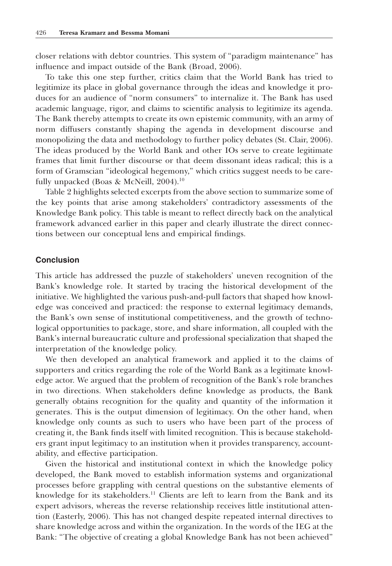closer relations with debtor countries. This system of "paradigm maintenance" has influence and impact outside of the Bank (Broad, 2006).

To take this one step further, critics claim that the World Bank has tried to legitimize its place in global governance through the ideas and knowledge it produces for an audience of "norm consumers" to internalize it. The Bank has used academic language, rigor, and claims to scientific analysis to legitimize its agenda. The Bank thereby attempts to create its own epistemic community, with an army of norm diffusers constantly shaping the agenda in development discourse and monopolizing the data and methodology to further policy debates (St. Clair, 2006). The ideas produced by the World Bank and other IOs serve to create legitimate frames that limit further discourse or that deem dissonant ideas radical; this is a form of Gramscian "ideological hegemony," which critics suggest needs to be carefully unpacked (Boas & McNeill, 2004).<sup>10</sup>

Table 2 highlights selected excerpts from the above section to summarize some of the key points that arise among stakeholders' contradictory assessments of the Knowledge Bank policy. This table is meant to reflect directly back on the analytical framework advanced earlier in this paper and clearly illustrate the direct connections between our conceptual lens and empirical findings.

#### **Conclusion**

This article has addressed the puzzle of stakeholders' uneven recognition of the Bank's knowledge role. It started by tracing the historical development of the initiative. We highlighted the various push-and-pull factors that shaped how knowledge was conceived and practiced: the response to external legitimacy demands, the Bank's own sense of institutional competitiveness, and the growth of technological opportunities to package, store, and share information, all coupled with the Bank's internal bureaucratic culture and professional specialization that shaped the interpretation of the knowledge policy.

We then developed an analytical framework and applied it to the claims of supporters and critics regarding the role of the World Bank as a legitimate knowledge actor. We argued that the problem of recognition of the Bank's role branches in two directions. When stakeholders define knowledge as products, the Bank generally obtains recognition for the quality and quantity of the information it generates. This is the output dimension of legitimacy. On the other hand, when knowledge only counts as such to users who have been part of the process of creating it, the Bank finds itself with limited recognition. This is because stakeholders grant input legitimacy to an institution when it provides transparency, accountability, and effective participation.

Given the historical and institutional context in which the knowledge policy developed, the Bank moved to establish information systems and organizational processes before grappling with central questions on the substantive elements of knowledge for its stakeholders.<sup>11</sup> Clients are left to learn from the Bank and its expert advisors, whereas the reverse relationship receives little institutional attention (Easterly, 2006). This has not changed despite repeated internal directives to share knowledge across and within the organization. In the words of the IEG at the Bank: "The objective of creating a global Knowledge Bank has not been achieved"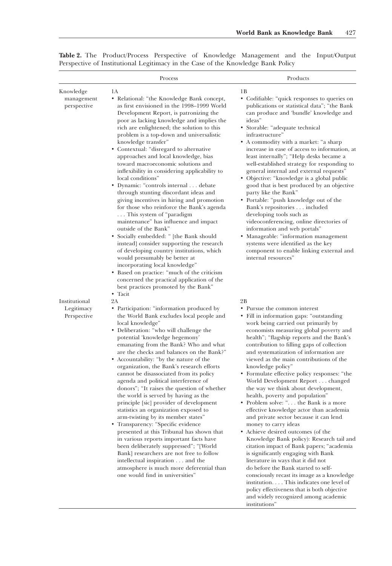|                                            | Process                                                                                                                                                                                                                                                                                                                                                                                                                                                                                                                                                                                                                                                                                                                                                                                                                                                                                                                                                                                                                                                                                                                    | Products                                                                                                                                                                                                                                                                                                                                                                                                                                                                                                                                                                                                                                                                                                                                                                                                                                                                                                                                                                                                                                                                                                                      |
|--------------------------------------------|----------------------------------------------------------------------------------------------------------------------------------------------------------------------------------------------------------------------------------------------------------------------------------------------------------------------------------------------------------------------------------------------------------------------------------------------------------------------------------------------------------------------------------------------------------------------------------------------------------------------------------------------------------------------------------------------------------------------------------------------------------------------------------------------------------------------------------------------------------------------------------------------------------------------------------------------------------------------------------------------------------------------------------------------------------------------------------------------------------------------------|-------------------------------------------------------------------------------------------------------------------------------------------------------------------------------------------------------------------------------------------------------------------------------------------------------------------------------------------------------------------------------------------------------------------------------------------------------------------------------------------------------------------------------------------------------------------------------------------------------------------------------------------------------------------------------------------------------------------------------------------------------------------------------------------------------------------------------------------------------------------------------------------------------------------------------------------------------------------------------------------------------------------------------------------------------------------------------------------------------------------------------|
| Knowledge<br>management<br>perspective     | 1A<br>• Relational: "the Knowledge Bank concept,<br>as first envisioned in the 1998–1999 World<br>Development Report, is patronizing the<br>poor as lacking knowledge and implies the<br>rich are enlightened; the solution to this<br>problem is a top-down and universalistic<br>knowledge transfer"<br>• Contextual: "disregard to alternative<br>approaches and local knowledge, bias<br>toward macroeconomic solutions and<br>inflexibility in considering applicability to<br>local conditions"<br>• Dynamic: "controls internal debate<br>through stunting discordant ideas and<br>giving incentives in hiring and promotion<br>for those who reinforce the Bank's agenda<br>This system of "paradigm<br>maintenance" has influence and impact<br>outside of the Bank"<br>• Socially embedded: " [the Bank should<br>instead] consider supporting the research<br>of developing country institutions, which<br>would presumably be better at<br>incorporating local knowledge"<br>• Based on practice: "much of the criticism<br>concerned the practical application of the<br>best practices promoted by the Bank" | 1B<br>• Codifiable: "quick responses to queries on<br>publications or statistical data"; "the Bank<br>can produce and 'bundle' knowledge and<br>ideas"<br>• Storable: "adequate technical<br>infrastructure"<br>• A commodity with a market: "a sharp<br>increase in ease of access to information, at<br>least internally"; "Help desks became a<br>well-established strategy for responding to<br>general internal and external requests"<br>• Objective: "knowledge is a global public<br>good that is best produced by an objective<br>party like the Bank"<br>• Portable: "push knowledge out of the<br>Bank's repositories included<br>developing tools such as<br>videoconferencing, online directories of<br>information and web portals"<br>• Manageable: "information management<br>systems were identified as the key<br>component to enable linking external and<br>internal resources"                                                                                                                                                                                                                           |
| Institutional<br>Legitimacy<br>Perspective | • Tacit<br>2A<br>• Participation: "information produced by<br>the World Bank excludes local people and<br>local knowledge"<br>• Deliberation: "who will challenge the<br>potential 'knowledge hegemony'<br>emanating from the Bank? Who and what<br>are the checks and balances on the Bank?"<br>• Accountability: "by the nature of the<br>organization, the Bank's research efforts<br>cannot be disassociated from its policy<br>agenda and political interference of<br>donors"; "It raises the question of whether<br>the world is served by having as the<br>principle [sic] provider of development<br>statistics an organization exposed to<br>arm-twisting by its member states"<br>• Transparency: "Specific evidence<br>presented at this Tribunal has shown that<br>in various reports important facts have<br>been deliberately suppressed"; "[World<br>Bank] researchers are not free to follow<br>intellectual inspiration and the<br>atmosphere is much more deferential than<br>one would find in universities"                                                                                           | 2B<br>• Pursue the common interest<br>• Fill in information gaps: "outstanding<br>work being carried out primarily by<br>economists measuring global poverty and<br>health"; "flagship reports and the Bank's<br>contribution to filling gaps of collection<br>and systematization of information are<br>viewed as the main contributions of the<br>knowledge policy"<br>• Formulate effective policy responses: "the<br>World Development Report changed<br>the way we think about development,<br>health, poverty and population"<br>• Problem solve: " the Bank is a more<br>effective knowledge actor than academia<br>and private sector because it can lend<br>money to carry ideas<br>Achieve desired outcomes (of the<br>Knowledge Bank policy): Research tail and<br>citation impact of Bank papers; "academia<br>is significantly engaging with Bank<br>literature in ways that it did not<br>do before the Bank started to self-<br>consciously recast its image as a knowledge<br>institution. This indicates one level of<br>policy effectiveness that is both objective<br>and widely recognized among academic |

institutions"

**Table 2.** The Product/Process Perspective of Knowledge Management and the Input/Output Perspective of Institutional Legitimacy in the Case of the Knowledge Bank Policy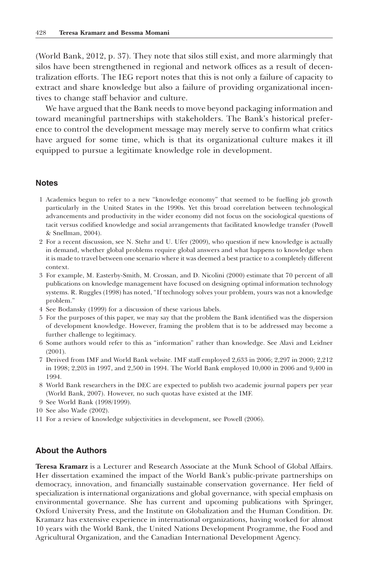(World Bank, 2012, p. 37). They note that silos still exist, and more alarmingly that silos have been strengthened in regional and network offices as a result of decentralization efforts. The IEG report notes that this is not only a failure of capacity to extract and share knowledge but also a failure of providing organizational incentives to change staff behavior and culture.

We have argued that the Bank needs to move beyond packaging information and toward meaningful partnerships with stakeholders. The Bank's historical preference to control the development message may merely serve to confirm what critics have argued for some time, which is that its organizational culture makes it ill equipped to pursue a legitimate knowledge role in development.

#### **Notes**

- 1 Academics begun to refer to a new "knowledge economy" that seemed to be fuelling job growth particularly in the United States in the 1990s. Yet this broad correlation between technological advancements and productivity in the wider economy did not focus on the sociological questions of tacit versus codified knowledge and social arrangements that facilitated knowledge transfer (Powell & Snellman, 2004).
- 2 For a recent discussion, see N. Stehr and U. Ufer (2009), who question if new knowledge is actually in demand, whether global problems require global answers and what happens to knowledge when it is made to travel between one scenario where it was deemed a best practice to a completely different context.
- 3 For example, M. Easterby-Smith, M. Crossan, and D. Nicolini (2000) estimate that 70 percent of all publications on knowledge management have focused on designing optimal information technology systems. R. Ruggles (1998) has noted, "If technology solves your problem, yours was not a knowledge problem."
- 4 See Bodansky (1999) for a discussion of these various labels.
- 5 For the purposes of this paper, we may say that the problem the Bank identified was the dispersion of development knowledge. However, framing the problem that is to be addressed may become a further challenge to legitimacy.
- 6 Some authors would refer to this as "information" rather than knowledge. See Alavi and Leidner (2001).
- 7 Derived from IMF and World Bank website. IMF staff employed 2,633 in 2006; 2,297 in 2000; 2,212 in 1998; 2,203 in 1997, and 2,500 in 1994. The World Bank employed 10,000 in 2006 and 9,400 in 1994.
- 8 World Bank researchers in the DEC are expected to publish two academic journal papers per year (World Bank, 2007). However, no such quotas have existed at the IMF.
- 9 See World Bank (1998/1999).
- 10 See also Wade (2002).
- 11 For a review of knowledge subjectivities in development, see Powell (2006).

#### **About the Authors**

**Teresa Kramarz** is a Lecturer and Research Associate at the Munk School of Global Affairs. Her dissertation examined the impact of the World Bank's public-private partnerships on democracy, innovation, and financially sustainable conservation governance. Her field of specialization is international organizations and global governance, with special emphasis on environmental governance. She has current and upcoming publications with Springer, Oxford University Press, and the Institute on Globalization and the Human Condition. Dr. Kramarz has extensive experience in international organizations, having worked for almost 10 years with the World Bank, the United Nations Development Programme, the Food and Agricultural Organization, and the Canadian International Development Agency.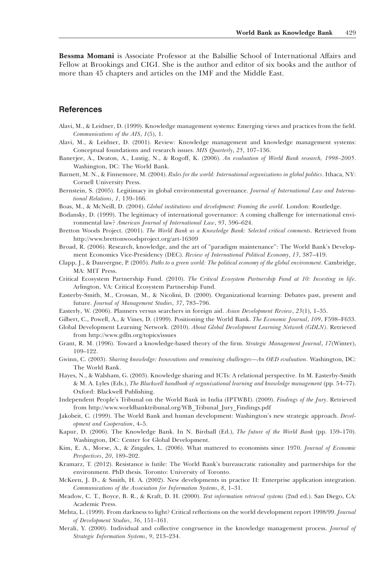**Bessma Momani** is Associate Professor at the Balsillie School of International Affairs and Fellow at Brookings and CIGI. She is the author and editor of six books and the author of more than 45 chapters and articles on the IMF and the Middle East.

#### **References**

- Alavi, M., & Leidner, D. (1999). Knowledge management systems: Emerging views and practices from the field. *Communications of the AIS*, *1*(5), 1.
- Alavi, M., & Leidner, D. (2001). Review: Knowledge management and knowledge management systems: Conceptual foundations and research issues. *MIS Quarterly*, *25*, 107–136.
- Banerjee, A., Deaton, A., Lustig, N., & Rogoff, K. (2006). *An evaluation of World Bank research, 1998–2005*. Washington, DC: The World Bank.
- Barnett, M. N., & Finnemore, M. (2004). *Rules for the world: International organizations in global politics*. Ithaca, NY: Cornell University Press.
- Bernstein, S. (2005). Legitimacy in global environmental governance. *Journal of International Law and International Relations*, *1*, 139–166.
- Boas, M., & McNeill, D. (2004). *Global institutions and development: Framing the world*. London: Routledge.
- Bodansky, D. (1999). The legitimacy of international governance: A coming challenge for international environmental law? *American Journal of International Law*, *93*, 596–624.
- Bretton Woods Project. (2001). *The World Bank as a Knowledge Bank: Selected critical comments*. Retrieved from <http://www.brettonwoodsproject.org/art-16309>
- Broad, R. (2006). Research, knowledge, and the art of "paradigm maintenance": The World Bank's Development Economics Vice-Presidency (DEC). *Review of International Political Economy*, *13*, 387–419.
- Clapp, J., & Dauvergne, P. (2005). *Paths to a green world: The political economy of the global environment*. Cambridge, MA: MIT Press.
- Critical Ecosystem Partnership Fund. (2010). *The Critical Ecosystem Partnership Fund at 10: Investing in life*. Arlington, VA: Critical Ecosystem Partnership Fund.
- Easterby-Smith, M., Crossan, M., & Nicolini, D. (2000). Organizational learning: Debates past, present and future. *Journal of Management Studies*, *37*, 783–796.
- Easterly, W. (2006). Planners versus searchers in foreign aid. *Asian Development Review*, *23*(1), 1–35.
- Gilbert, C., Powell, A., & Vines, D. (1999). Positioning the World Bank. *The Economic Journal*, *109*, F598–F633.
- Global Development Learning Network. (2010). *About Global Development Learning Network (GDLN)*. Retrieved from<http://www.gdln.org/topics/issues>
- Grant, R. M. (1996). Toward a knowledge-based theory of the firm. *Strategic Management Journal*, *17*(Winter), 109–122.
- Gwinn, C. (2003). *Sharing knowledge: Innovations and remaining challenges—An OED evaluation*. Washington, DC: The World Bank.
- Hayes, N., & Walsham, G. (2003). Knowledge sharing and ICTs: A relational perspective. In M. Easterby-Smith & M. A. Lyles (Eds.), *The Blackwell handbook of organizational learning and knowledge management* (pp. 54–77). Oxford: Blackwell Publishing.
- Independent People's Tribunal on the World Bank in India (IPTWBI). (2009). *Findings of the Jury*. Retrieved from [http://www.worldbanktribunal.org/WB\\_Tribunal\\_Jury\\_Findings.pdf](http://www.worldbanktribunal.org/WB_Tribunal_Jury_Findings.pdf)
- Jakobeit, C. (1999). The World Bank and human development: Washington's new strategic approach. *Development and Cooperation*, 4–5.
- Kapur, D. (2006). The Knowledge Bank. In N. Birdsall (Ed.), *The future of the World Bank* (pp. 159–170). Washington, DC: Center for Global Development.
- Kim, E. A., Morse, A., & Zingales, L. (2006). What mattered to economists since 1970. *Journal of Economic Perspectives*, *20*, 189–202.
- Kramarz, T. (2012). Resistance is futile: The World Bank's bureaucratic rationality and partnerships for the environment. PhD thesis. Toronto: University of Toronto.
- McKeen, J. D., & Smith, H. A. (2002). New developments in practice II: Enterprise application integration. *Communications of the Association for Information Systems*, *8*, 1–31.
- Meadow, C. T., Boyce, B. R., & Kraft, D. H. (2000). *Text information retrieval systems* (2nd ed.). San Diego, CA: Academic Press.
- Mehta, L. (1999). From darkness to light? Critical reflections on the world development report 1998/99. *Journal of Development Studies*, *36*, 151–161.
- Merali, Y. (2000). Individual and collective congruence in the knowledge management process. *Journal of Strategic Information Systems*, *9*, 213–234.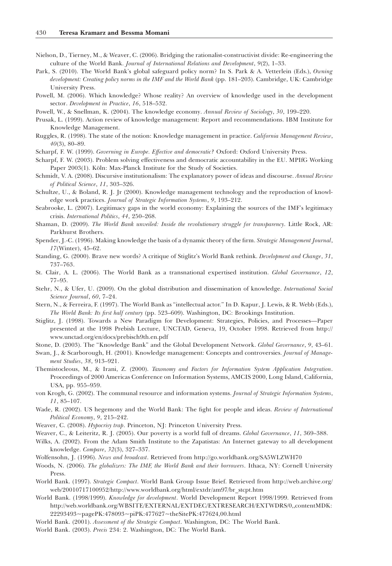- Nielson, D., Tierney, M., & Weaver, C. (2006). Bridging the rationalist-constructivist divide: Re-engineering the culture of the World Bank. *Journal of International Relations and Development*, *9*(2), 1–33.
- Park, S. (2010). The World Bank's global safeguard policy norm? In S. Park & A. Vetterlein (Eds.), *Owning development: Creating policy norms in the IMF and the World Bank* (pp. 181–203). Cambridge, UK: Cambridge University Press.
- Powell, M. (2006). Which knowledge? Whose reality? An overview of knowledge used in the development sector. *Development in Practice*, *16*, 518–532.
- Powell, W., & Snellman, K. (2004). The knowledge economy. *Annual Review of Sociology*, *30*, 199–220.
- Prusak, L. (1999). Action review of knowledge management: Report and recommendations. IBM Institute for Knowledge Management.
- Ruggles, R. (1998). The state of the notion: Knowledge management in practice. *California Management Review*, *40*(3), 80–89.
- Scharpf, F. W. (1999). *Governing in Europe. Effective and democratic?* Oxford: Oxford University Press.
- Scharpf, F. W. (2003). Problem solving effectiveness and democratic accountability in the EU. MPIfG Working Paper 2003(1). Köln: Max-Planck Institute for the Study of Societies.
- Schmidt, V. A. (2008). Discursive institutionalism: The explanatory power of ideas and discourse. *Annual Review of Political Science*, *11*, 303–326.
- Schultze, U., & Boland, R. J. Jr (2000). Knowledge management technology and the reproduction of knowledge work practices. *Journal of Strategic Information Systems*, *9*, 193–212.
- Seabrooke, L. (2007). Legitimacy gaps in the world economy: Explaining the sources of the IMF's legitimacy crisis. *International Politics*, *44*, 250–268.
- Shaman, D. (2009). *The World Bank unveiled: Inside the revolutionary struggle for transparency*. Little Rock, AR: Parkhurst Brothers.
- Spender, J.-C. (1996). Making knowledge the basis of a dynamic theory of the firm. *Strategic Management Journal*, *17*(Winter), 45–62.
- Standing, G. (2000). Brave new words? A critique of Stiglitz's World Bank rethink. *Development and Change*, *31*, 737–763.
- St. Clair, A. L. (2006). The World Bank as a transnational expertised institution. *Global Governance*, *12*, 77–95.
- Stehr, N., & Ufer, U. (2009). On the global distribution and dissemination of knowledge. *International Social Science Journal*, *60*, 7–24.
- Stern, N., & Ferreira, F. (1997). The World Bank as "intellectual actor." In D. Kapur, J. Lewis, & R. Webb (Eds.), *The World Bank: Its first half century* (pp. 523–609). Washington, DC: Brookings Institution.
- Stiglitz, J. (1998). Towards a New Paradigm for Development: Strategies, Policies, and Processes—Paper presented at the 1998 Prebish Lecture, UNCTAD, Geneva, 19, October 1998. Retrieved from [http://](http://www.unctad.org/en/docs/prebisch9th.en.pdf) [www.unctad.org/en/docs/prebisch9th.en.pdf](http://www.unctad.org/en/docs/prebisch9th.en.pdf)
- Stone, D. (2003). The "Knowledge Bank" and the Global Development Network. *Global Governance*, *9*, 43–61.
- Swan, J., & Scarborough, H. (2001). Knowledge management: Concepts and controversies. *Journal of Management Studies*, *38*, 913–921.
- Themistocleous, M., & Irani, Z. (2000). *Taxonomy and Factors for Information System Application Integration*. Proceedings of 2000 Americas Conference on Information Systems, AMCIS 2000, Long Island, California, USA, pp. 955–959.
- von Krogh, G. (2002). The communal resource and information systems. *Journal of Strategic Information Systems*, *11*, 85–107.
- Wade, R. (2002). US hegemony and the World Bank: The fight for people and ideas. *Review of International Political Economy*, *9*, 215–242.
- Weaver, C. (2008). *Hypocrisy trap*. Princeton, NJ: Princeton University Press.
- Weaver, C., & Leiteritz, R. J. (2005). Our poverty is a world full of dreams. *Global Governance*, *11*, 369–388.
- Wilks, A. (2002). From the Adam Smith Institute to the Zapatistas: An Internet gateway to all development knowledge. *Compare*, *32*(3), 327–337.
- Wolfensohn, J. (1996). *News and broadcast*. Retrieved from<http://go.worldbank.org/SA5WLZWH70>
- Woods, N. (2006). *The globalizers: The IMF, the World Bank and their borrowers*. Ithaca, NY: Cornell University Press.
- World Bank. (1997). *Strategic Compact*. World Bank Group Issue Brief. Retrieved from [http://web.archive.org/](http://web.archive.org/web/20010717100952/http://www.worldbank.org/html/extdr/am97/br_stcpt.htm) [web/20010717100952/http://www.worldbank.org/html/extdr/am97/br\\_stcpt.htm](http://web.archive.org/web/20010717100952/http://www.worldbank.org/html/extdr/am97/br_stcpt.htm)
- World Bank. (1998/1999). *Knowledge for development*. World Development Report 1998/1999. Retrieved from [http://web.worldbank.org/WBSITE/EXTERNAL/EXTDEC/EXTRESEARCH/EXTWDRS/0,,contentMDK:](http://web.worldbank.org/WBSITE/EXTERNAL/EXTDEC/EXTRESEARCH/EXTWDRS/0,,contentMDK:22293493~pagePK:478093~piPK:477627~theSitePK:477624,00.html) [22293493~pagePK:478093~piPK:477627~theSitePK:477624,00.html](http://web.worldbank.org/WBSITE/EXTERNAL/EXTDEC/EXTRESEARCH/EXTWDRS/0,,contentMDK:22293493~pagePK:478093~piPK:477627~theSitePK:477624,00.html)
- World Bank. (2001). *Assessment of the Strategic Compact*. Washington, DC: The World Bank.
- World Bank. (2003). *Precis* 234: 2. Washington, DC: The World Bank.